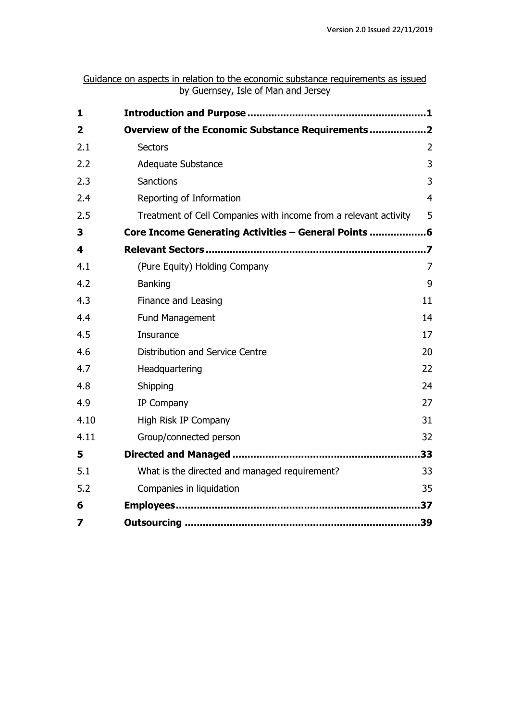| Guidance on aspects in relation to the economic substance requirements as issued |  |
|----------------------------------------------------------------------------------|--|
| by Guernsey, Isle of Man and Jersey                                              |  |

| $\mathbf{1}$   |                                                                  |                |
|----------------|------------------------------------------------------------------|----------------|
| $\overline{2}$ | Overview of the Economic Substance Requirements2                 |                |
| 2.1            | <b>Sectors</b>                                                   | $\overline{2}$ |
| 2.2            | Adequate Substance                                               | 3              |
| 2.3            | <b>Sanctions</b>                                                 | 3              |
| 2.4            | Reporting of Information                                         | $\overline{4}$ |
| 2.5            | Treatment of Cell Companies with income from a relevant activity | 5              |
| 3              | Core Income Generating Activities - General Points 6             |                |
| 4              |                                                                  |                |
| 4.1            | (Pure Equity) Holding Company                                    | $\overline{7}$ |
| 4.2            | <b>Banking</b>                                                   | 9              |
| 4.3            | Finance and Leasing                                              | 11             |
| 4.4            | Fund Management                                                  | 14             |
| 4.5            | Insurance                                                        | 17             |
| 4.6            | Distribution and Service Centre                                  | 20             |
| 4.7            | Headquartering                                                   | 22             |
| 4.8            | Shipping                                                         | 24             |
| 4.9            | IP Company                                                       | 27             |
| 4.10           | High Risk IP Company                                             | 31             |
| 4.11           | Group/connected person                                           | 32             |
| 5              |                                                                  | 33             |
| 5.1            | What is the directed and managed requirement?                    | 33             |
| 5.2            | Companies in liquidation                                         | 35             |
| 6              |                                                                  | 37             |
| 7              |                                                                  | .39            |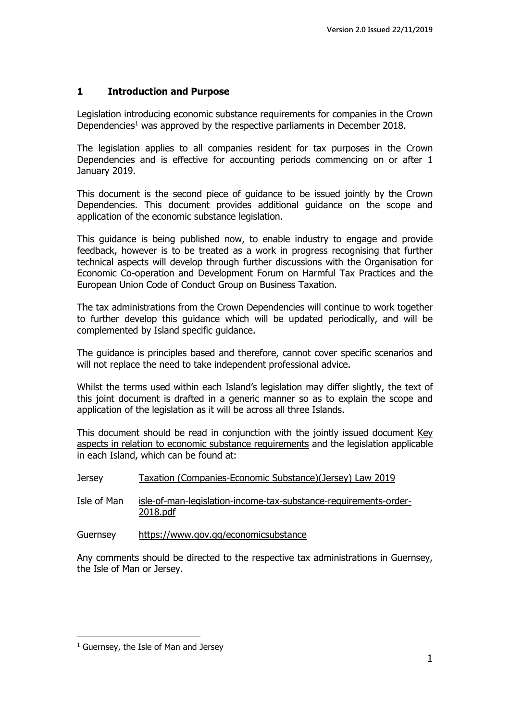## <span id="page-1-0"></span>**1 Introduction and Purpose**

Legislation introducing economic substance requirements for companies in the Crown Dependencies<sup>1</sup> was approved by the respective parliaments in December 2018.

The legislation applies to all companies resident for tax purposes in the Crown Dependencies and is effective for accounting periods commencing on or after 1 January 2019.

This document is the second piece of guidance to be issued jointly by the Crown Dependencies. This document provides additional guidance on the scope and application of the economic substance legislation.

This guidance is being published now, to enable industry to engage and provide feedback, however is to be treated as a work in progress recognising that further technical aspects will develop through further discussions with the Organisation for Economic Co-operation and Development Forum on Harmful Tax Practices and the European Union Code of Conduct Group on Business Taxation.

The tax administrations from the Crown Dependencies will continue to work together to further develop this guidance which will be updated periodically, and will be complemented by Island specific guidance.

The guidance is principles based and therefore, cannot cover specific scenarios and will not replace the need to take independent professional advice.

Whilst the terms used within each Island's legislation may differ slightly, the text of this joint document is drafted in a generic manner so as to explain the scope and application of the legislation as it will be across all three Islands.

This document should be read in conjunction with the jointly issued document [Key](https://www.gov.je/SiteCollectionDocuments/Tax%20and%20your%20money/ID%20Economic%20Substance%20Key%20Aspects%2020181221.pdf)  [aspects in relation to economic substance requirements](https://www.gov.je/SiteCollectionDocuments/Tax%20and%20your%20money/ID%20Economic%20Substance%20Key%20Aspects%2020181221.pdf) and the legislation applicable in each Island, which can be found at:

| <b>Jersey</b> |  | Taxation (Companies-Economic Substance)(Jersey) Law 2019 |  |  |
|---------------|--|----------------------------------------------------------|--|--|
|               |  |                                                          |  |  |

- Isle of Man [isle-of-man-legislation-income-tax-substance-requirements-order-](https://www.gov.im/media/1363889/approved-isle-of-man-legislation-income-tax-substance-requirements-order-2018.pdf)[2018.pdf](https://www.gov.im/media/1363889/approved-isle-of-man-legislation-income-tax-substance-requirements-order-2018.pdf)
- Guernsey <https://www.gov.gg/economicsubstance>

Any comments should be directed to the respective tax administrations in Guernsey, the Isle of Man or Jersey.

-

<sup>&</sup>lt;sup>1</sup> Guernsey, the Isle of Man and Jersey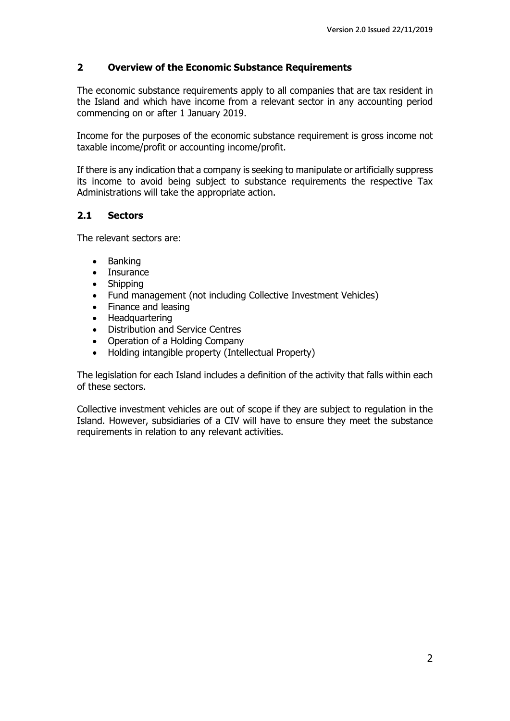# <span id="page-2-0"></span>**2 Overview of the Economic Substance Requirements**

The economic substance requirements apply to all companies that are tax resident in the Island and which have income from a relevant sector in any accounting period commencing on or after 1 January 2019.

Income for the purposes of the economic substance requirement is gross income not taxable income/profit or accounting income/profit.

If there is any indication that a company is seeking to manipulate or artificially suppress its income to avoid being subject to substance requirements the respective Tax Administrations will take the appropriate action.

## <span id="page-2-1"></span>**2.1 Sectors**

The relevant sectors are:

- Banking
- Insurance
- Shipping
- Fund management (not including Collective Investment Vehicles)
- Finance and leasing
- Headquartering
- Distribution and Service Centres
- Operation of a Holding Company
- Holding intangible property (Intellectual Property)

The legislation for each Island includes a definition of the activity that falls within each of these sectors.

Collective investment vehicles are out of scope if they are subject to regulation in the Island. However, subsidiaries of a CIV will have to ensure they meet the substance requirements in relation to any relevant activities.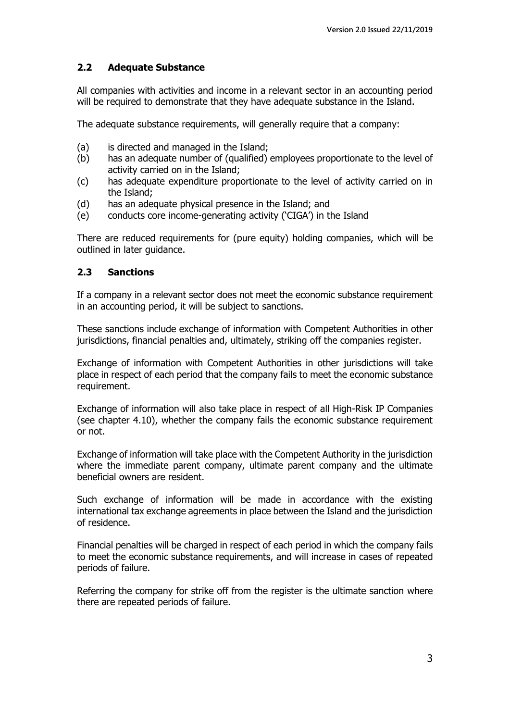## <span id="page-3-0"></span>**2.2 Adequate Substance**

All companies with activities and income in a relevant sector in an accounting period will be required to demonstrate that they have adequate substance in the Island.

The adequate substance requirements, will generally require that a company:

- (a) is directed and managed in the Island;
- (b) has an adequate number of (qualified) employees proportionate to the level of activity carried on in the Island;
- (c) has adequate expenditure proportionate to the level of activity carried on in the Island;
- (d) has an adequate physical presence in the Island; and
- (e) conducts core income-generating activity ('CIGA') in the Island

There are reduced requirements for (pure equity) holding companies, which will be outlined in later guidance.

## <span id="page-3-1"></span>**2.3 Sanctions**

If a company in a relevant sector does not meet the economic substance requirement in an accounting period, it will be subject to sanctions.

These sanctions include exchange of information with Competent Authorities in other jurisdictions, financial penalties and, ultimately, striking off the companies register.

Exchange of information with Competent Authorities in other jurisdictions will take place in respect of each period that the company fails to meet the economic substance requirement.

Exchange of information will also take place in respect of all High-Risk IP Companies (see chapter 4.10), whether the company fails the economic substance requirement or not.

Exchange of information will take place with the Competent Authority in the jurisdiction where the immediate parent company, ultimate parent company and the ultimate beneficial owners are resident.

Such exchange of information will be made in accordance with the existing international tax exchange agreements in place between the Island and the jurisdiction of residence.

Financial penalties will be charged in respect of each period in which the company fails to meet the economic substance requirements, and will increase in cases of repeated periods of failure.

Referring the company for strike off from the register is the ultimate sanction where there are repeated periods of failure.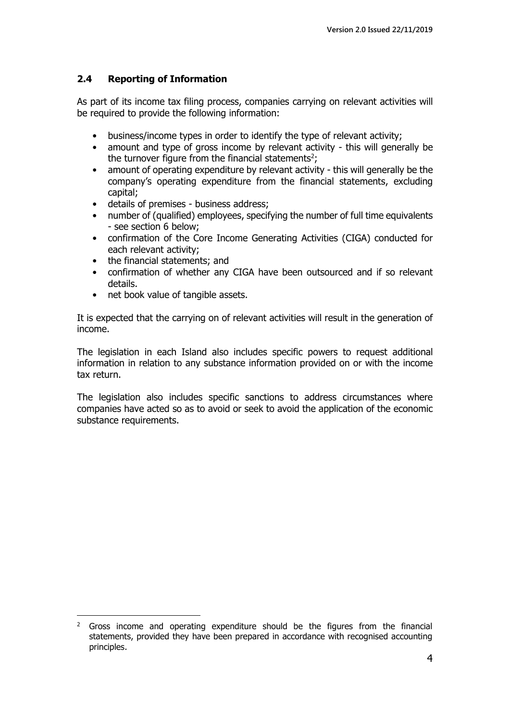# <span id="page-4-0"></span>**2.4 Reporting of Information**

As part of its income tax filing process, companies carrying on relevant activities will be required to provide the following information:

- business/income types in order to identify the type of relevant activity;
- amount and type of gross income by relevant activity this will generally be the turnover figure from the financial statements<sup>2</sup>;
- amount of operating expenditure by relevant activity this will generally be the company's operating expenditure from the financial statements, excluding capital;
- details of premises business address;
- number of (qualified) employees, specifying the number of full time equivalents - see section 6 below;
- confirmation of the Core Income Generating Activities (CIGA) conducted for each relevant activity;
- the financial statements; and
- confirmation of whether any CIGA have been outsourced and if so relevant details.
- net book value of tangible assets.

It is expected that the carrying on of relevant activities will result in the generation of income.

The legislation in each Island also includes specific powers to request additional information in relation to any substance information provided on or with the income tax return.

The legislation also includes specific sanctions to address circumstances where companies have acted so as to avoid or seek to avoid the application of the economic substance requirements.

<sup>-</sup> $2^2$  Gross income and operating expenditure should be the figures from the financial statements, provided they have been prepared in accordance with recognised accounting principles.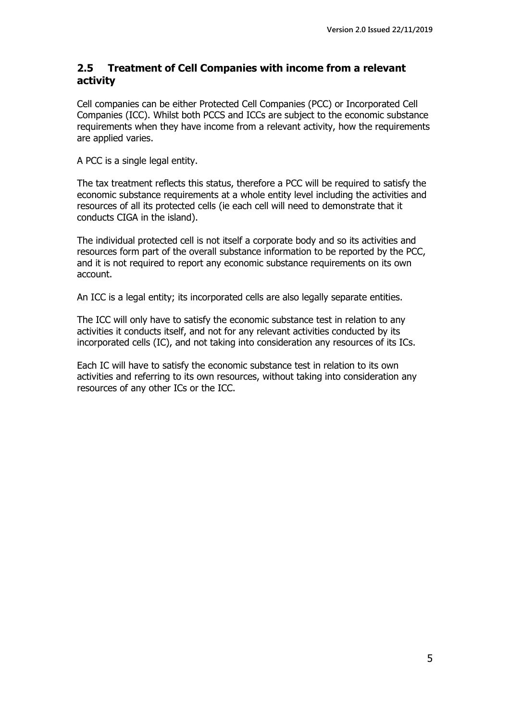# <span id="page-5-0"></span>**2.5 Treatment of Cell Companies with income from a relevant activity**

Cell companies can be either Protected Cell Companies (PCC) or Incorporated Cell Companies (ICC). Whilst both PCCS and ICCs are subject to the economic substance requirements when they have income from a relevant activity, how the requirements are applied varies.

A PCC is a single legal entity.

The tax treatment reflects this status, therefore a PCC will be required to satisfy the economic substance requirements at a whole entity level including the activities and resources of all its protected cells (ie each cell will need to demonstrate that it conducts CIGA in the island).

The individual protected cell is not itself a corporate body and so its activities and resources form part of the overall substance information to be reported by the PCC, and it is not required to report any economic substance requirements on its own account.

An ICC is a legal entity; its incorporated cells are also legally separate entities.

The ICC will only have to satisfy the economic substance test in relation to any activities it conducts itself, and not for any relevant activities conducted by its incorporated cells (IC), and not taking into consideration any resources of its ICs.

Each IC will have to satisfy the economic substance test in relation to its own activities and referring to its own resources, without taking into consideration any resources of any other ICs or the ICC.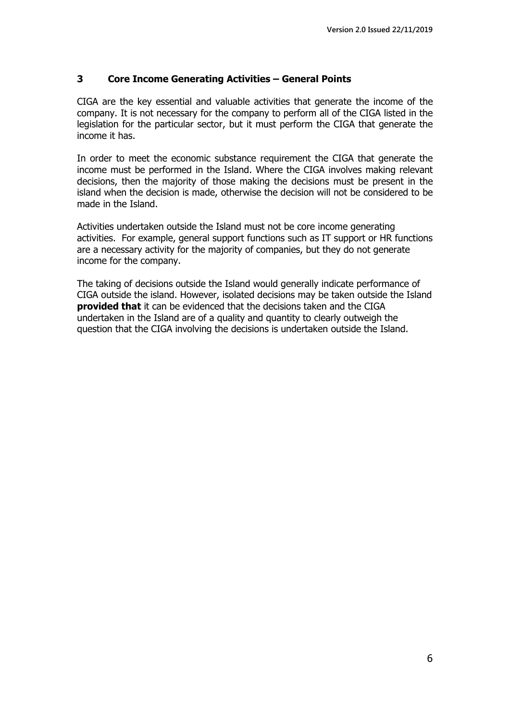## <span id="page-6-0"></span>**3 Core Income Generating Activities – General Points**

CIGA are the key essential and valuable activities that generate the income of the company. It is not necessary for the company to perform all of the CIGA listed in the legislation for the particular sector, but it must perform the CIGA that generate the income it has.

In order to meet the economic substance requirement the CIGA that generate the income must be performed in the Island. Where the CIGA involves making relevant decisions, then the majority of those making the decisions must be present in the island when the decision is made, otherwise the decision will not be considered to be made in the Island.

Activities undertaken outside the Island must not be core income generating activities. For example, general support functions such as IT support or HR functions are a necessary activity for the majority of companies, but they do not generate income for the company.

The taking of decisions outside the Island would generally indicate performance of CIGA outside the island. However, isolated decisions may be taken outside the Island **provided that** it can be evidenced that the decisions taken and the CIGA undertaken in the Island are of a quality and quantity to clearly outweigh the question that the CIGA involving the decisions is undertaken outside the Island.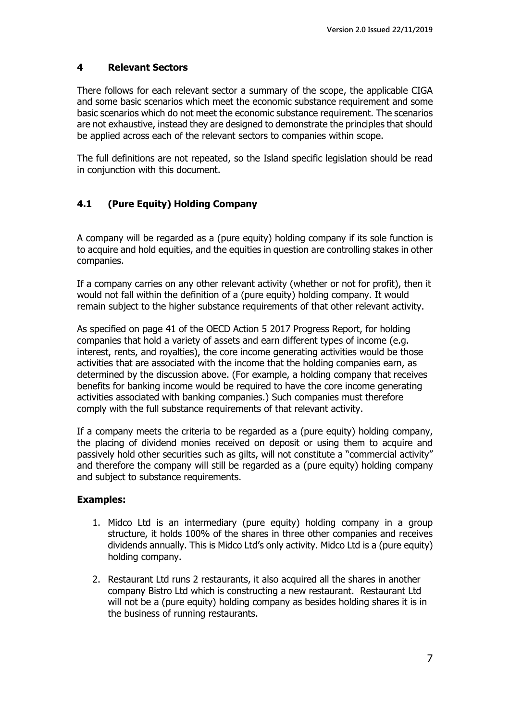# <span id="page-7-0"></span>**4 Relevant Sectors**

There follows for each relevant sector a summary of the scope, the applicable CIGA and some basic scenarios which meet the economic substance requirement and some basic scenarios which do not meet the economic substance requirement. The scenarios are not exhaustive, instead they are designed to demonstrate the principles that should be applied across each of the relevant sectors to companies within scope.

The full definitions are not repeated, so the Island specific legislation should be read in conjunction with this document.

# <span id="page-7-1"></span>**4.1 (Pure Equity) Holding Company**

A company will be regarded as a (pure equity) holding company if its sole function is to acquire and hold equities, and the equities in question are controlling stakes in other companies.

If a company carries on any other relevant activity (whether or not for profit), then it would not fall within the definition of a (pure equity) holding company. It would remain subject to the higher substance requirements of that other relevant activity.

As specified on page 41 of the OECD Action 5 2017 Progress Report, for holding companies that hold a variety of assets and earn different types of income (e.g. interest, rents, and royalties), the core income generating activities would be those activities that are associated with the income that the holding companies earn, as determined by the discussion above. (For example, a holding company that receives benefits for banking income would be required to have the core income generating activities associated with banking companies.) Such companies must therefore comply with the full substance requirements of that relevant activity.

If a company meets the criteria to be regarded as a (pure equity) holding company, the placing of dividend monies received on deposit or using them to acquire and passively hold other securities such as gilts, will not constitute a "commercial activity" and therefore the company will still be regarded as a (pure equity) holding company and subject to substance requirements.

### **Examples:**

- 1. Midco Ltd is an intermediary (pure equity) holding company in a group structure, it holds 100% of the shares in three other companies and receives dividends annually. This is Midco Ltd's only activity. Midco Ltd is a (pure equity) holding company.
- 2. Restaurant Ltd runs 2 restaurants, it also acquired all the shares in another company Bistro Ltd which is constructing a new restaurant. Restaurant Ltd will not be a (pure equity) holding company as besides holding shares it is in the business of running restaurants.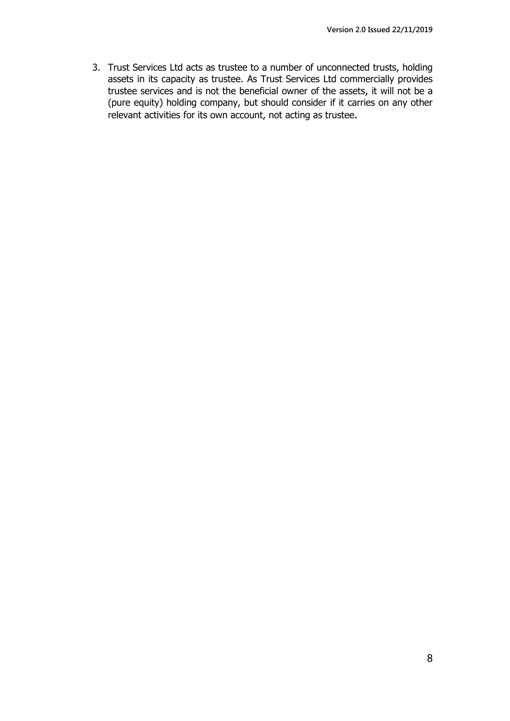3. Trust Services Ltd acts as trustee to a number of unconnected trusts, holding assets in its capacity as trustee. As Trust Services Ltd commercially provides trustee services and is not the beneficial owner of the assets, it will not be a (pure equity) holding company, but should consider if it carries on any other relevant activities for its own account, not acting as trustee.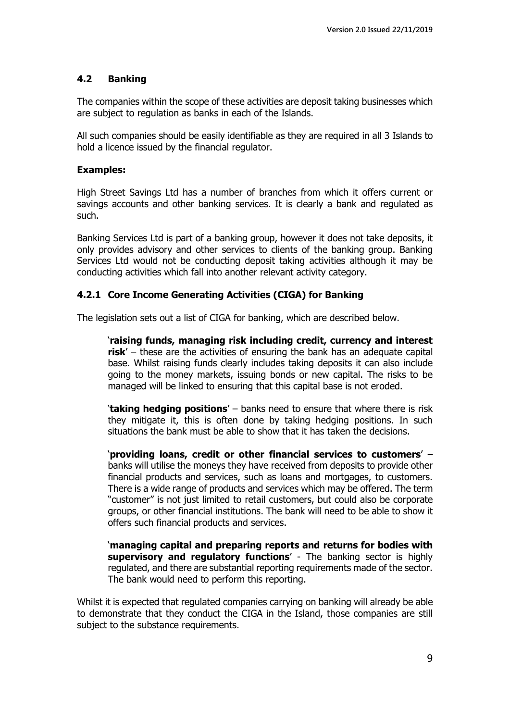## <span id="page-9-0"></span>**4.2 Banking**

The companies within the scope of these activities are deposit taking businesses which are subject to regulation as banks in each of the Islands.

All such companies should be easily identifiable as they are required in all 3 Islands to hold a licence issued by the financial regulator.

### **Examples:**

High Street Savings Ltd has a number of branches from which it offers current or savings accounts and other banking services. It is clearly a bank and regulated as such.

Banking Services Ltd is part of a banking group, however it does not take deposits, it only provides advisory and other services to clients of the banking group. Banking Services Ltd would not be conducting deposit taking activities although it may be conducting activities which fall into another relevant activity category.

## **4.2.1 Core Income Generating Activities (CIGA) for Banking**

The legislation sets out a list of CIGA for banking, which are described below.

'**raising funds, managing risk including credit, currency and interest risk**' – these are the activities of ensuring the bank has an adequate capital base. Whilst raising funds clearly includes taking deposits it can also include going to the money markets, issuing bonds or new capital. The risks to be managed will be linked to ensuring that this capital base is not eroded.

'**taking hedging positions**' – banks need to ensure that where there is risk they mitigate it, this is often done by taking hedging positions. In such situations the bank must be able to show that it has taken the decisions.

'**providing loans, credit or other financial services to customers**' – banks will utilise the moneys they have received from deposits to provide other financial products and services, such as loans and mortgages, to customers. There is a wide range of products and services which may be offered. The term "customer" is not just limited to retail customers, but could also be corporate groups, or other financial institutions. The bank will need to be able to show it offers such financial products and services.

'**managing capital and preparing reports and returns for bodies with supervisory and regulatory functions**' - The banking sector is highly regulated, and there are substantial reporting requirements made of the sector. The bank would need to perform this reporting.

Whilst it is expected that regulated companies carrying on banking will already be able to demonstrate that they conduct the CIGA in the Island, those companies are still subject to the substance requirements.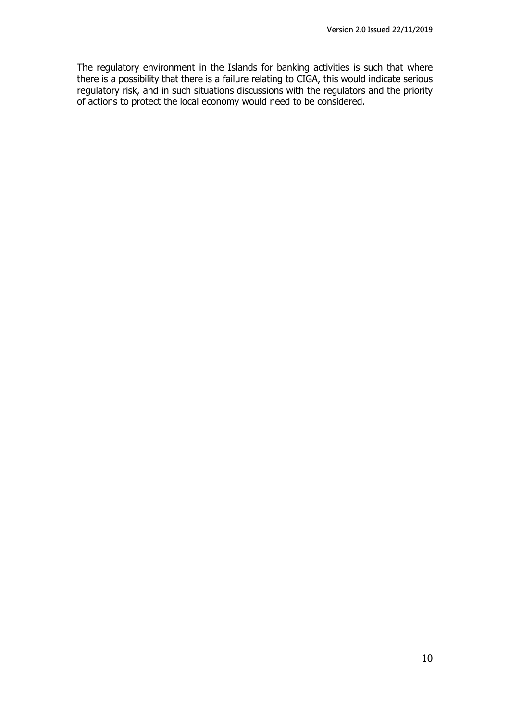The regulatory environment in the Islands for banking activities is such that where there is a possibility that there is a failure relating to CIGA, this would indicate serious regulatory risk, and in such situations discussions with the regulators and the priority of actions to protect the local economy would need to be considered.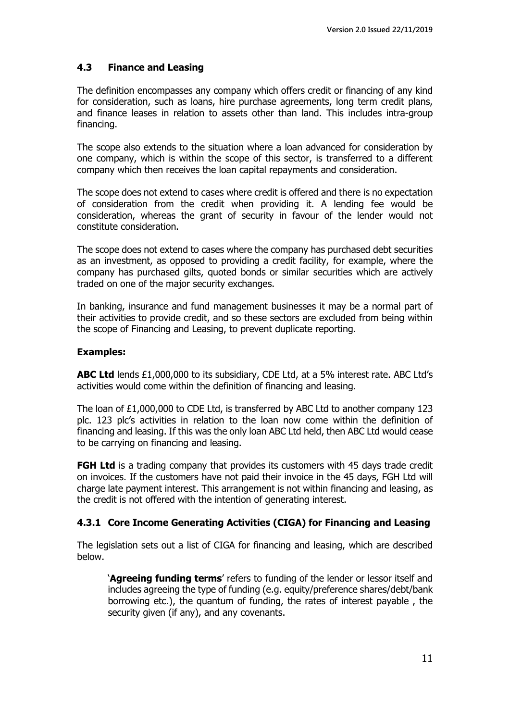# <span id="page-11-0"></span>**4.3 Finance and Leasing**

The definition encompasses any company which offers credit or financing of any kind for consideration, such as loans, hire purchase agreements, long term credit plans, and finance leases in relation to assets other than land. This includes intra-group financing.

The scope also extends to the situation where a loan advanced for consideration by one company, which is within the scope of this sector, is transferred to a different company which then receives the loan capital repayments and consideration.

The scope does not extend to cases where credit is offered and there is no expectation of consideration from the credit when providing it. A lending fee would be consideration, whereas the grant of security in favour of the lender would not constitute consideration.

The scope does not extend to cases where the company has purchased debt securities as an investment, as opposed to providing a credit facility, for example, where the company has purchased gilts, quoted bonds or similar securities which are actively traded on one of the major security exchanges.

In banking, insurance and fund management businesses it may be a normal part of their activities to provide credit, and so these sectors are excluded from being within the scope of Financing and Leasing, to prevent duplicate reporting.

## **Examples:**

**ABC Ltd** lends £1,000,000 to its subsidiary, CDE Ltd, at a 5% interest rate. ABC Ltd's activities would come within the definition of financing and leasing.

The loan of £1,000,000 to CDE Ltd, is transferred by ABC Ltd to another company 123 plc. 123 plc's activities in relation to the loan now come within the definition of financing and leasing. If this was the only loan ABC Ltd held, then ABC Ltd would cease to be carrying on financing and leasing.

**FGH Ltd** is a trading company that provides its customers with 45 days trade credit on invoices. If the customers have not paid their invoice in the 45 days, FGH Ltd will charge late payment interest. This arrangement is not within financing and leasing, as the credit is not offered with the intention of generating interest.

## **4.3.1 Core Income Generating Activities (CIGA) for Financing and Leasing**

The legislation sets out a list of CIGA for financing and leasing, which are described below.

'**Agreeing funding terms**' refers to funding of the lender or lessor itself and includes agreeing the type of funding (e.g. equity/preference shares/debt/bank borrowing etc.), the quantum of funding, the rates of interest payable , the security given (if any), and any covenants.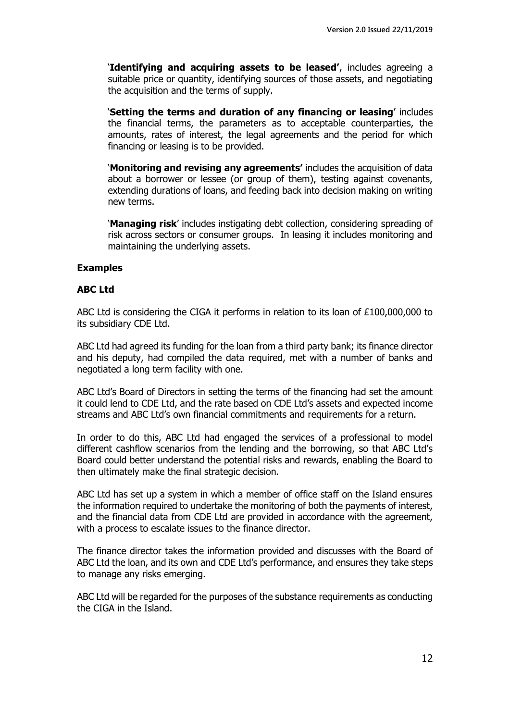'**Identifying and acquiring assets to be leased'**, includes agreeing a suitable price or quantity, identifying sources of those assets, and negotiating the acquisition and the terms of supply.

'**Setting the terms and duration of any financing or leasing**' includes the financial terms, the parameters as to acceptable counterparties, the amounts, rates of interest, the legal agreements and the period for which financing or leasing is to be provided.

'**Monitoring and revising any agreements'** includes the acquisition of data about a borrower or lessee (or group of them), testing against covenants, extending durations of loans, and feeding back into decision making on writing new terms.

'**Managing risk**' includes instigating debt collection, considering spreading of risk across sectors or consumer groups. In leasing it includes monitoring and maintaining the underlying assets.

### **Examples**

### **ABC Ltd**

ABC Ltd is considering the CIGA it performs in relation to its loan of £100,000,000 to its subsidiary CDE Ltd.

ABC Ltd had agreed its funding for the loan from a third party bank; its finance director and his deputy, had compiled the data required, met with a number of banks and negotiated a long term facility with one.

ABC Ltd's Board of Directors in setting the terms of the financing had set the amount it could lend to CDE Ltd, and the rate based on CDE Ltd's assets and expected income streams and ABC Ltd's own financial commitments and requirements for a return.

In order to do this, ABC Ltd had engaged the services of a professional to model different cashflow scenarios from the lending and the borrowing, so that ABC Ltd's Board could better understand the potential risks and rewards, enabling the Board to then ultimately make the final strategic decision.

ABC Ltd has set up a system in which a member of office staff on the Island ensures the information required to undertake the monitoring of both the payments of interest, and the financial data from CDE Ltd are provided in accordance with the agreement, with a process to escalate issues to the finance director.

The finance director takes the information provided and discusses with the Board of ABC Ltd the loan, and its own and CDE Ltd's performance, and ensures they take steps to manage any risks emerging.

ABC Ltd will be regarded for the purposes of the substance requirements as conducting the CIGA in the Island.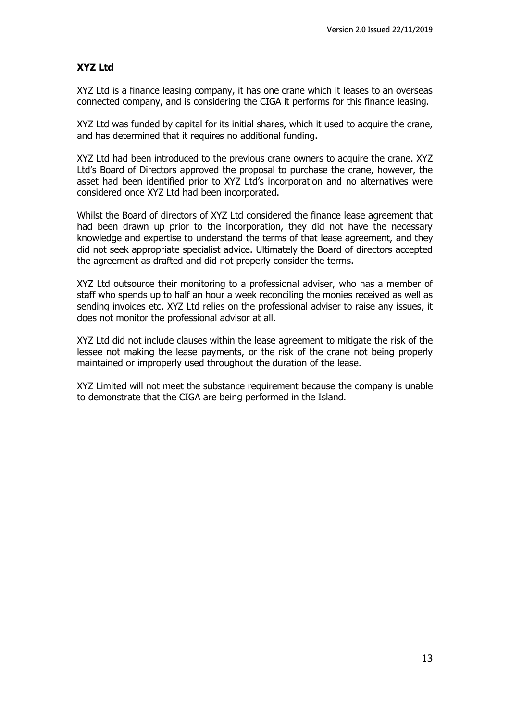# **XYZ Ltd**

XYZ Ltd is a finance leasing company, it has one crane which it leases to an overseas connected company, and is considering the CIGA it performs for this finance leasing.

XYZ Ltd was funded by capital for its initial shares, which it used to acquire the crane, and has determined that it requires no additional funding.

XYZ Ltd had been introduced to the previous crane owners to acquire the crane. XYZ Ltd's Board of Directors approved the proposal to purchase the crane, however, the asset had been identified prior to XYZ Ltd's incorporation and no alternatives were considered once XYZ Ltd had been incorporated.

Whilst the Board of directors of XYZ Ltd considered the finance lease agreement that had been drawn up prior to the incorporation, they did not have the necessary knowledge and expertise to understand the terms of that lease agreement, and they did not seek appropriate specialist advice. Ultimately the Board of directors accepted the agreement as drafted and did not properly consider the terms.

XYZ Ltd outsource their monitoring to a professional adviser, who has a member of staff who spends up to half an hour a week reconciling the monies received as well as sending invoices etc. XYZ Ltd relies on the professional adviser to raise any issues, it does not monitor the professional advisor at all.

XYZ Ltd did not include clauses within the lease agreement to mitigate the risk of the lessee not making the lease payments, or the risk of the crane not being properly maintained or improperly used throughout the duration of the lease.

XYZ Limited will not meet the substance requirement because the company is unable to demonstrate that the CIGA are being performed in the Island.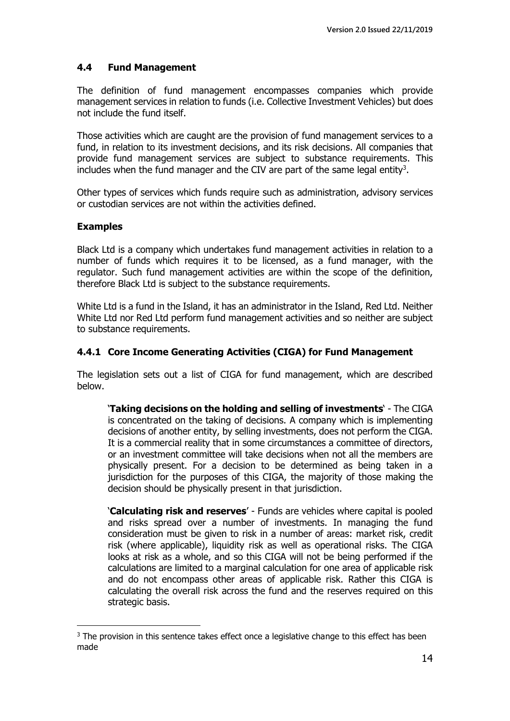## <span id="page-14-0"></span>**4.4 Fund Management**

The definition of fund management encompasses companies which provide management services in relation to funds (i.e. Collective Investment Vehicles) but does not include the fund itself.

Those activities which are caught are the provision of fund management services to a fund, in relation to its investment decisions, and its risk decisions. All companies that provide fund management services are subject to substance requirements. This includes when the fund manager and the CIV are part of the same legal entity<sup>3</sup>.

Other types of services which funds require such as administration, advisory services or custodian services are not within the activities defined.

### **Examples**

-

Black Ltd is a company which undertakes fund management activities in relation to a number of funds which requires it to be licensed, as a fund manager, with the regulator. Such fund management activities are within the scope of the definition, therefore Black Ltd is subject to the substance requirements.

White Ltd is a fund in the Island, it has an administrator in the Island, Red Ltd. Neither White Ltd nor Red Ltd perform fund management activities and so neither are subject to substance requirements.

## **4.4.1 Core Income Generating Activities (CIGA) for Fund Management**

The legislation sets out a list of CIGA for fund management, which are described below.

'**Taking decisions on the holding and selling of investments**' - The CIGA is concentrated on the taking of decisions. A company which is implementing decisions of another entity, by selling investments, does not perform the CIGA. It is a commercial reality that in some circumstances a committee of directors, or an investment committee will take decisions when not all the members are physically present. For a decision to be determined as being taken in a jurisdiction for the purposes of this CIGA, the majority of those making the decision should be physically present in that jurisdiction.

'**Calculating risk and reserves**' - Funds are vehicles where capital is pooled and risks spread over a number of investments. In managing the fund consideration must be given to risk in a number of areas: market risk, credit risk (where applicable), liquidity risk as well as operational risks. The CIGA looks at risk as a whole, and so this CIGA will not be being performed if the calculations are limited to a marginal calculation for one area of applicable risk and do not encompass other areas of applicable risk. Rather this CIGA is calculating the overall risk across the fund and the reserves required on this strategic basis.

 $3$  The provision in this sentence takes effect once a legislative change to this effect has been made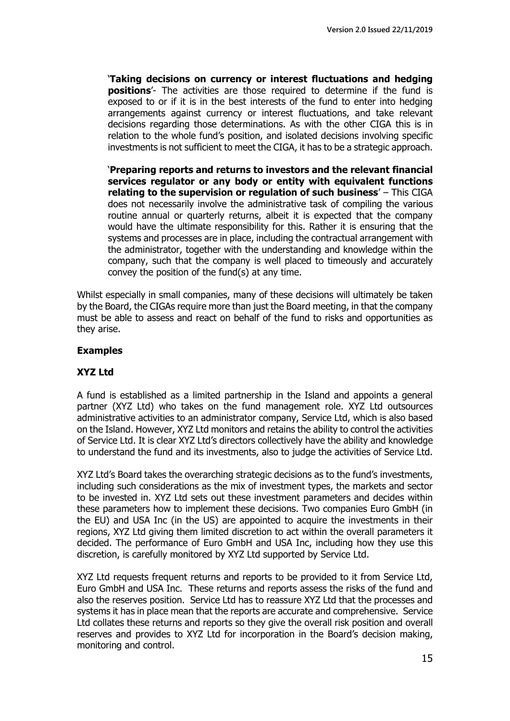'**Taking decisions on currency or interest fluctuations and hedging positions**<sup>'</sup>- The activities are those required to determine if the fund is exposed to or if it is in the best interests of the fund to enter into hedging arrangements against currency or interest fluctuations, and take relevant decisions regarding those determinations. As with the other CIGA this is in relation to the whole fund's position, and isolated decisions involving specific investments is not sufficient to meet the CIGA, it has to be a strategic approach.

'**Preparing reports and returns to investors and the relevant financial services regulator or any body or entity with equivalent functions relating to the supervision or regulation of such business**' – This CIGA does not necessarily involve the administrative task of compiling the various routine annual or quarterly returns, albeit it is expected that the company would have the ultimate responsibility for this. Rather it is ensuring that the systems and processes are in place, including the contractual arrangement with the administrator, together with the understanding and knowledge within the company, such that the company is well placed to timeously and accurately convey the position of the fund(s) at any time.

Whilst especially in small companies, many of these decisions will ultimately be taken by the Board, the CIGAs require more than just the Board meeting, in that the company must be able to assess and react on behalf of the fund to risks and opportunities as they arise.

## **Examples**

### **XYZ Ltd**

A fund is established as a limited partnership in the Island and appoints a general partner (XYZ Ltd) who takes on the fund management role. XYZ Ltd outsources administrative activities to an administrator company, Service Ltd, which is also based on the Island. However, XYZ Ltd monitors and retains the ability to control the activities of Service Ltd. It is clear XYZ Ltd's directors collectively have the ability and knowledge to understand the fund and its investments, also to judge the activities of Service Ltd.

XYZ Ltd's Board takes the overarching strategic decisions as to the fund's investments, including such considerations as the mix of investment types, the markets and sector to be invested in. XYZ Ltd sets out these investment parameters and decides within these parameters how to implement these decisions. Two companies Euro GmbH (in the EU) and USA Inc (in the US) are appointed to acquire the investments in their regions, XYZ Ltd giving them limited discretion to act within the overall parameters it decided. The performance of Euro GmbH and USA Inc, including how they use this discretion, is carefully monitored by XYZ Ltd supported by Service Ltd.

XYZ Ltd requests frequent returns and reports to be provided to it from Service Ltd, Euro GmbH and USA Inc. These returns and reports assess the risks of the fund and also the reserves position. Service Ltd has to reassure XYZ Ltd that the processes and systems it has in place mean that the reports are accurate and comprehensive. Service Ltd collates these returns and reports so they give the overall risk position and overall reserves and provides to XYZ Ltd for incorporation in the Board's decision making, monitoring and control.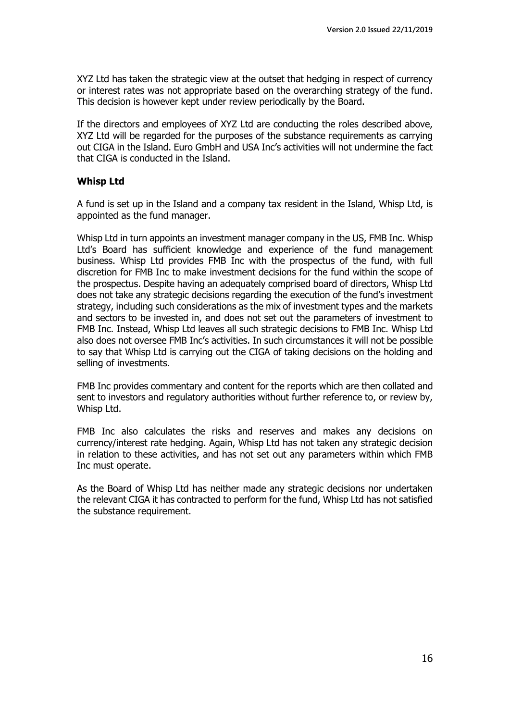XYZ Ltd has taken the strategic view at the outset that hedging in respect of currency or interest rates was not appropriate based on the overarching strategy of the fund. This decision is however kept under review periodically by the Board.

If the directors and employees of XYZ Ltd are conducting the roles described above, XYZ Ltd will be regarded for the purposes of the substance requirements as carrying out CIGA in the Island. Euro GmbH and USA Inc's activities will not undermine the fact that CIGA is conducted in the Island.

### **Whisp Ltd**

A fund is set up in the Island and a company tax resident in the Island, Whisp Ltd, is appointed as the fund manager.

Whisp Ltd in turn appoints an investment manager company in the US, FMB Inc. Whisp Ltd's Board has sufficient knowledge and experience of the fund management business. Whisp Ltd provides FMB Inc with the prospectus of the fund, with full discretion for FMB Inc to make investment decisions for the fund within the scope of the prospectus. Despite having an adequately comprised board of directors, Whisp Ltd does not take any strategic decisions regarding the execution of the fund's investment strategy, including such considerations as the mix of investment types and the markets and sectors to be invested in, and does not set out the parameters of investment to FMB Inc. Instead, Whisp Ltd leaves all such strategic decisions to FMB Inc. Whisp Ltd also does not oversee FMB Inc's activities. In such circumstances it will not be possible to say that Whisp Ltd is carrying out the CIGA of taking decisions on the holding and selling of investments.

FMB Inc provides commentary and content for the reports which are then collated and sent to investors and regulatory authorities without further reference to, or review by, Whisp Ltd.

FMB Inc also calculates the risks and reserves and makes any decisions on currency/interest rate hedging. Again, Whisp Ltd has not taken any strategic decision in relation to these activities, and has not set out any parameters within which FMB Inc must operate.

As the Board of Whisp Ltd has neither made any strategic decisions nor undertaken the relevant CIGA it has contracted to perform for the fund, Whisp Ltd has not satisfied the substance requirement.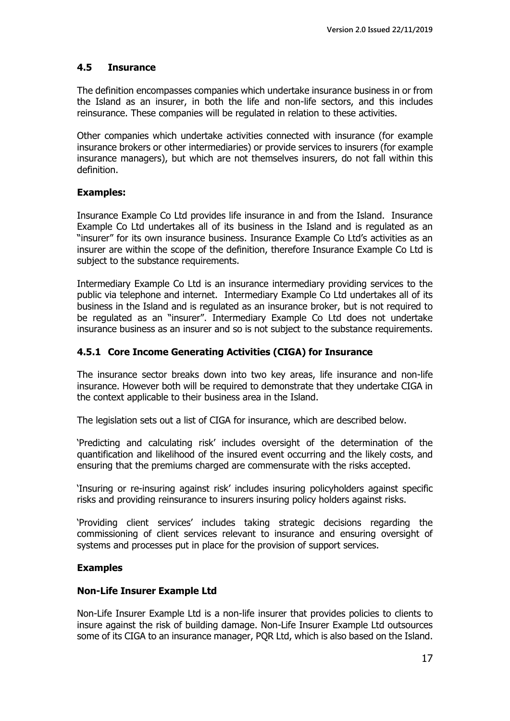# <span id="page-17-0"></span>**4.5 Insurance**

The definition encompasses companies which undertake insurance business in or from the Island as an insurer, in both the life and non-life sectors, and this includes reinsurance. These companies will be regulated in relation to these activities.

Other companies which undertake activities connected with insurance (for example insurance brokers or other intermediaries) or provide services to insurers (for example insurance managers), but which are not themselves insurers, do not fall within this definition.

## **Examples:**

Insurance Example Co Ltd provides life insurance in and from the Island. Insurance Example Co Ltd undertakes all of its business in the Island and is regulated as an "insurer" for its own insurance business. Insurance Example Co Ltd's activities as an insurer are within the scope of the definition, therefore Insurance Example Co Ltd is subject to the substance requirements.

Intermediary Example Co Ltd is an insurance intermediary providing services to the public via telephone and internet. Intermediary Example Co Ltd undertakes all of its business in the Island and is regulated as an insurance broker, but is not required to be regulated as an "insurer". Intermediary Example Co Ltd does not undertake insurance business as an insurer and so is not subject to the substance requirements.

## **4.5.1 Core Income Generating Activities (CIGA) for Insurance**

The insurance sector breaks down into two key areas, life insurance and non-life insurance. However both will be required to demonstrate that they undertake CIGA in the context applicable to their business area in the Island.

The legislation sets out a list of CIGA for insurance, which are described below.

'Predicting and calculating risk' includes oversight of the determination of the quantification and likelihood of the insured event occurring and the likely costs, and ensuring that the premiums charged are commensurate with the risks accepted.

'Insuring or re-insuring against risk' includes insuring policyholders against specific risks and providing reinsurance to insurers insuring policy holders against risks.

'Providing client services' includes taking strategic decisions regarding the commissioning of client services relevant to insurance and ensuring oversight of systems and processes put in place for the provision of support services.

## **Examples**

## **Non-Life Insurer Example Ltd**

Non-Life Insurer Example Ltd is a non-life insurer that provides policies to clients to insure against the risk of building damage. Non-Life Insurer Example Ltd outsources some of its CIGA to an insurance manager, PQR Ltd, which is also based on the Island.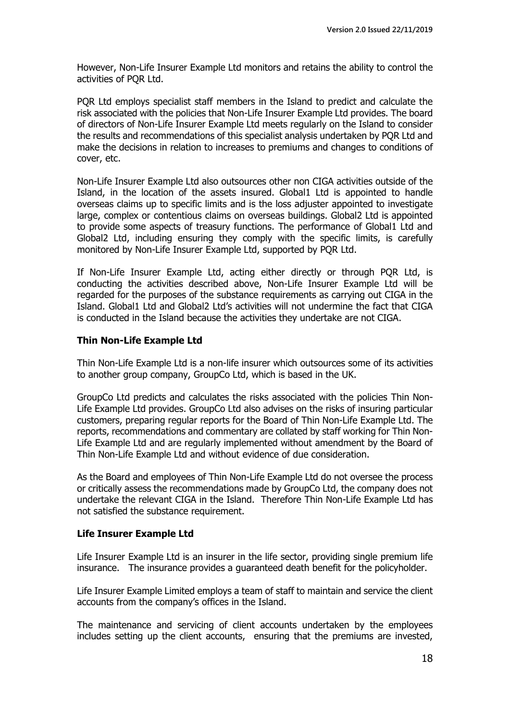However, Non-Life Insurer Example Ltd monitors and retains the ability to control the activities of PQR Ltd.

PQR Ltd employs specialist staff members in the Island to predict and calculate the risk associated with the policies that Non-Life Insurer Example Ltd provides. The board of directors of Non-Life Insurer Example Ltd meets regularly on the Island to consider the results and recommendations of this specialist analysis undertaken by PQR Ltd and make the decisions in relation to increases to premiums and changes to conditions of cover, etc.

Non-Life Insurer Example Ltd also outsources other non CIGA activities outside of the Island, in the location of the assets insured. Global1 Ltd is appointed to handle overseas claims up to specific limits and is the loss adjuster appointed to investigate large, complex or contentious claims on overseas buildings. Global2 Ltd is appointed to provide some aspects of treasury functions. The performance of Global1 Ltd and Global2 Ltd, including ensuring they comply with the specific limits, is carefully monitored by Non-Life Insurer Example Ltd, supported by PQR Ltd.

If Non-Life Insurer Example Ltd, acting either directly or through PQR Ltd, is conducting the activities described above, Non-Life Insurer Example Ltd will be regarded for the purposes of the substance requirements as carrying out CIGA in the Island. Global1 Ltd and Global2 Ltd's activities will not undermine the fact that CIGA is conducted in the Island because the activities they undertake are not CIGA.

## **Thin Non-Life Example Ltd**

Thin Non-Life Example Ltd is a non-life insurer which outsources some of its activities to another group company, GroupCo Ltd, which is based in the UK.

GroupCo Ltd predicts and calculates the risks associated with the policies Thin Non-Life Example Ltd provides. GroupCo Ltd also advises on the risks of insuring particular customers, preparing regular reports for the Board of Thin Non-Life Example Ltd. The reports, recommendations and commentary are collated by staff working for Thin Non-Life Example Ltd and are regularly implemented without amendment by the Board of Thin Non-Life Example Ltd and without evidence of due consideration.

As the Board and employees of Thin Non-Life Example Ltd do not oversee the process or critically assess the recommendations made by GroupCo Ltd, the company does not undertake the relevant CIGA in the Island. Therefore Thin Non-Life Example Ltd has not satisfied the substance requirement.

## **Life Insurer Example Ltd**

Life Insurer Example Ltd is an insurer in the life sector, providing single premium life insurance. The insurance provides a guaranteed death benefit for the policyholder.

Life Insurer Example Limited employs a team of staff to maintain and service the client accounts from the company's offices in the Island.

The maintenance and servicing of client accounts undertaken by the employees includes setting up the client accounts, ensuring that the premiums are invested,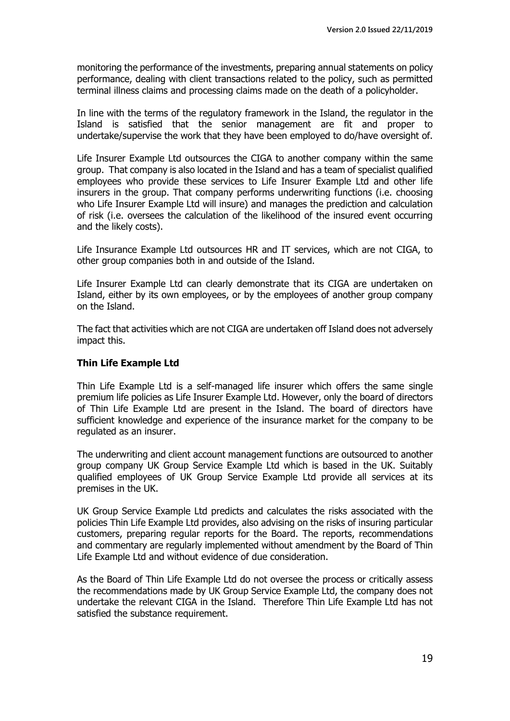monitoring the performance of the investments, preparing annual statements on policy performance, dealing with client transactions related to the policy, such as permitted terminal illness claims and processing claims made on the death of a policyholder.

In line with the terms of the regulatory framework in the Island, the regulator in the Island is satisfied that the senior management are fit and proper to undertake/supervise the work that they have been employed to do/have oversight of.

Life Insurer Example Ltd outsources the CIGA to another company within the same group. That company is also located in the Island and has a team of specialist qualified employees who provide these services to Life Insurer Example Ltd and other life insurers in the group. That company performs underwriting functions (i.e. choosing who Life Insurer Example Ltd will insure) and manages the prediction and calculation of risk (i.e. oversees the calculation of the likelihood of the insured event occurring and the likely costs).

Life Insurance Example Ltd outsources HR and IT services, which are not CIGA, to other group companies both in and outside of the Island.

Life Insurer Example Ltd can clearly demonstrate that its CIGA are undertaken on Island, either by its own employees, or by the employees of another group company on the Island.

The fact that activities which are not CIGA are undertaken off Island does not adversely impact this.

### **Thin Life Example Ltd**

Thin Life Example Ltd is a self-managed life insurer which offers the same single premium life policies as Life Insurer Example Ltd. However, only the board of directors of Thin Life Example Ltd are present in the Island. The board of directors have sufficient knowledge and experience of the insurance market for the company to be regulated as an insurer.

The underwriting and client account management functions are outsourced to another group company UK Group Service Example Ltd which is based in the UK. Suitably qualified employees of UK Group Service Example Ltd provide all services at its premises in the UK.

UK Group Service Example Ltd predicts and calculates the risks associated with the policies Thin Life Example Ltd provides, also advising on the risks of insuring particular customers, preparing regular reports for the Board. The reports, recommendations and commentary are regularly implemented without amendment by the Board of Thin Life Example Ltd and without evidence of due consideration.

As the Board of Thin Life Example Ltd do not oversee the process or critically assess the recommendations made by UK Group Service Example Ltd, the company does not undertake the relevant CIGA in the Island. Therefore Thin Life Example Ltd has not satisfied the substance requirement.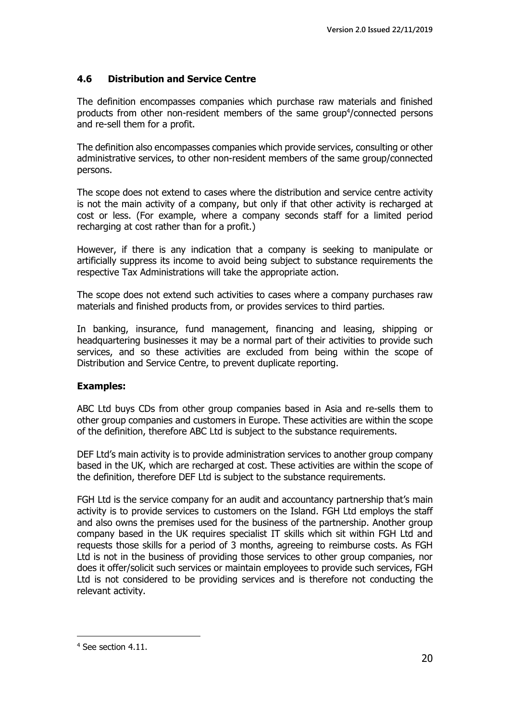## <span id="page-20-0"></span>**4.6 Distribution and Service Centre**

The definition encompasses companies which purchase raw materials and finished products from other non-resident members of the same group<sup>4</sup>/connected persons and re-sell them for a profit.

The definition also encompasses companies which provide services, consulting or other administrative services, to other non-resident members of the same group/connected persons.

The scope does not extend to cases where the distribution and service centre activity is not the main activity of a company, but only if that other activity is recharged at cost or less. (For example, where a company seconds staff for a limited period recharging at cost rather than for a profit.)

However, if there is any indication that a company is seeking to manipulate or artificially suppress its income to avoid being subject to substance requirements the respective Tax Administrations will take the appropriate action.

The scope does not extend such activities to cases where a company purchases raw materials and finished products from, or provides services to third parties.

In banking, insurance, fund management, financing and leasing, shipping or headquartering businesses it may be a normal part of their activities to provide such services, and so these activities are excluded from being within the scope of Distribution and Service Centre, to prevent duplicate reporting.

### **Examples:**

ABC Ltd buys CDs from other group companies based in Asia and re-sells them to other group companies and customers in Europe. These activities are within the scope of the definition, therefore ABC Ltd is subject to the substance requirements.

DEF Ltd's main activity is to provide administration services to another group company based in the UK, which are recharged at cost. These activities are within the scope of the definition, therefore DEF Ltd is subject to the substance requirements.

FGH Ltd is the service company for an audit and accountancy partnership that's main activity is to provide services to customers on the Island. FGH Ltd employs the staff and also owns the premises used for the business of the partnership. Another group company based in the UK requires specialist IT skills which sit within FGH Ltd and requests those skills for a period of 3 months, agreeing to reimburse costs. As FGH Ltd is not in the business of providing those services to other group companies, nor does it offer/solicit such services or maintain employees to provide such services, FGH Ltd is not considered to be providing services and is therefore not conducting the relevant activity.

-

<sup>4</sup> See section 4.11.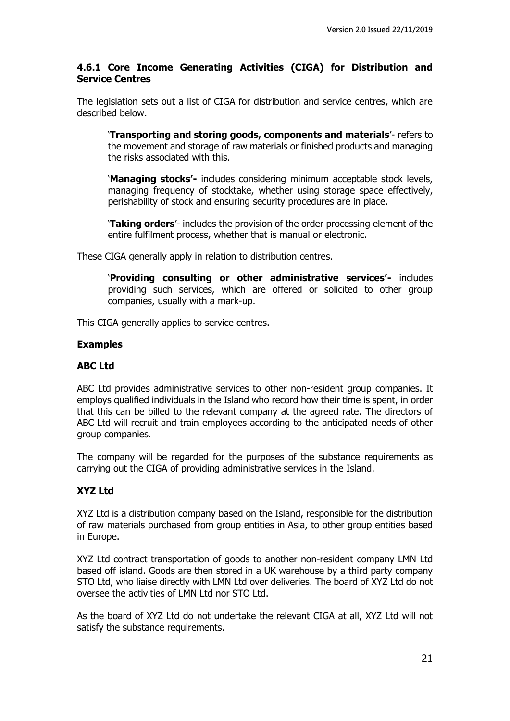## **4.6.1 Core Income Generating Activities (CIGA) for Distribution and Service Centres**

The legislation sets out a list of CIGA for distribution and service centres, which are described below.

'**Transporting and storing goods, components and materials**'- refers to the movement and storage of raw materials or finished products and managing the risks associated with this.

'**Managing stocks'-** includes considering minimum acceptable stock levels, managing frequency of stocktake, whether using storage space effectively, perishability of stock and ensuring security procedures are in place.

'**Taking orders**'- includes the provision of the order processing element of the entire fulfilment process, whether that is manual or electronic.

These CIGA generally apply in relation to distribution centres.

'**Providing consulting or other administrative services'-** includes providing such services, which are offered or solicited to other group companies, usually with a mark-up.

This CIGA generally applies to service centres.

## **Examples**

### **ABC Ltd**

ABC Ltd provides administrative services to other non-resident group companies. It employs qualified individuals in the Island who record how their time is spent, in order that this can be billed to the relevant company at the agreed rate. The directors of ABC Ltd will recruit and train employees according to the anticipated needs of other group companies.

The company will be regarded for the purposes of the substance requirements as carrying out the CIGA of providing administrative services in the Island.

### **XYZ Ltd**

XYZ Ltd is a distribution company based on the Island, responsible for the distribution of raw materials purchased from group entities in Asia, to other group entities based in Europe.

XYZ Ltd contract transportation of goods to another non-resident company LMN Ltd based off island. Goods are then stored in a UK warehouse by a third party company STO Ltd, who liaise directly with LMN Ltd over deliveries. The board of XYZ Ltd do not oversee the activities of LMN Ltd nor STO Ltd.

As the board of XYZ Ltd do not undertake the relevant CIGA at all, XYZ Ltd will not satisfy the substance requirements.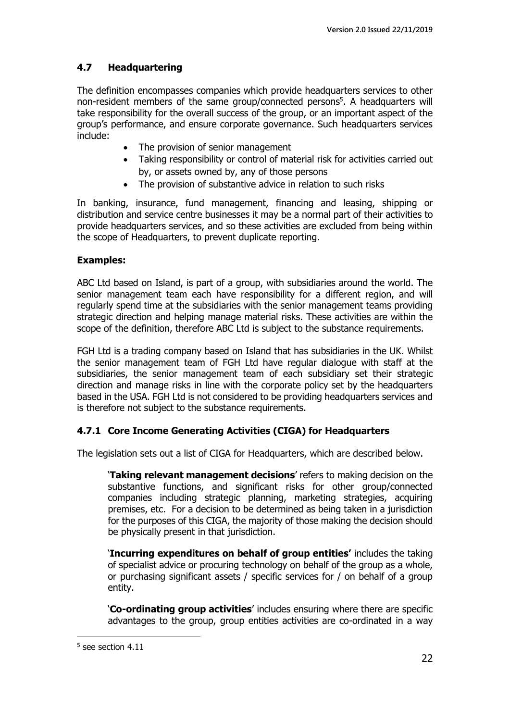# <span id="page-22-0"></span>**4.7 Headquartering**

The definition encompasses companies which provide headquarters services to other non-resident members of the same group/connected persons<sup>5</sup>. A headquarters will take responsibility for the overall success of the group, or an important aspect of the group's performance, and ensure corporate governance. Such headquarters services include:

- The provision of senior management
- Taking responsibility or control of material risk for activities carried out by, or assets owned by, any of those persons
- The provision of substantive advice in relation to such risks

In banking, insurance, fund management, financing and leasing, shipping or distribution and service centre businesses it may be a normal part of their activities to provide headquarters services, and so these activities are excluded from being within the scope of Headquarters, to prevent duplicate reporting.

# **Examples:**

ABC Ltd based on Island, is part of a group, with subsidiaries around the world. The senior management team each have responsibility for a different region, and will regularly spend time at the subsidiaries with the senior management teams providing strategic direction and helping manage material risks. These activities are within the scope of the definition, therefore ABC Ltd is subject to the substance requirements.

FGH Ltd is a trading company based on Island that has subsidiaries in the UK. Whilst the senior management team of FGH Ltd have regular dialogue with staff at the subsidiaries, the senior management team of each subsidiary set their strategic direction and manage risks in line with the corporate policy set by the headquarters based in the USA. FGH Ltd is not considered to be providing headquarters services and is therefore not subject to the substance requirements.

# **4.7.1 Core Income Generating Activities (CIGA) for Headquarters**

The legislation sets out a list of CIGA for Headquarters, which are described below.

'**Taking relevant management decisions**' refers to making decision on the substantive functions, and significant risks for other group/connected companies including strategic planning, marketing strategies, acquiring premises, etc. For a decision to be determined as being taken in a jurisdiction for the purposes of this CIGA, the majority of those making the decision should be physically present in that jurisdiction.

'**Incurring expenditures on behalf of group entities'** includes the taking of specialist advice or procuring technology on behalf of the group as a whole, or purchasing significant assets / specific services for / on behalf of a group entity.

'**Co-ordinating group activities**' includes ensuring where there are specific advantages to the group, group entities activities are co-ordinated in a way

-

<sup>5</sup> see section 4.11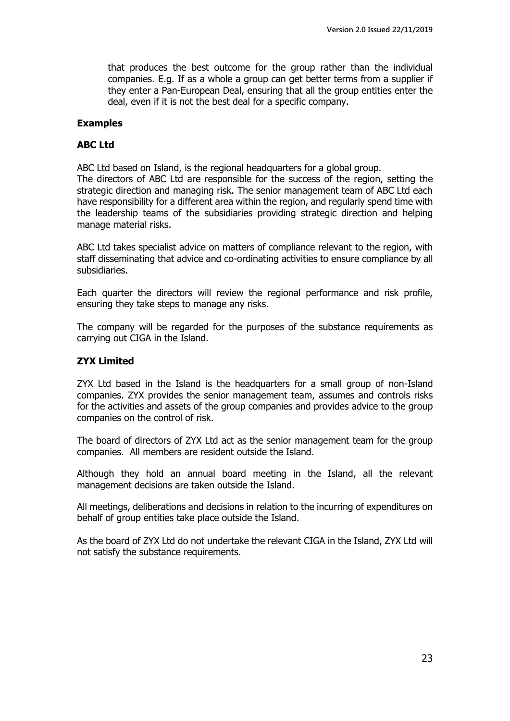that produces the best outcome for the group rather than the individual companies. E.g. If as a whole a group can get better terms from a supplier if they enter a Pan-European Deal, ensuring that all the group entities enter the deal, even if it is not the best deal for a specific company.

### **Examples**

### **ABC Ltd**

ABC Ltd based on Island, is the regional headquarters for a global group. The directors of ABC Ltd are responsible for the success of the region, setting the strategic direction and managing risk. The senior management team of ABC Ltd each have responsibility for a different area within the region, and regularly spend time with the leadership teams of the subsidiaries providing strategic direction and helping manage material risks.

ABC Ltd takes specialist advice on matters of compliance relevant to the region, with staff disseminating that advice and co-ordinating activities to ensure compliance by all subsidiaries.

Each quarter the directors will review the regional performance and risk profile, ensuring they take steps to manage any risks.

The company will be regarded for the purposes of the substance requirements as carrying out CIGA in the Island.

### **ZYX Limited**

ZYX Ltd based in the Island is the headquarters for a small group of non-Island companies. ZYX provides the senior management team, assumes and controls risks for the activities and assets of the group companies and provides advice to the group companies on the control of risk.

The board of directors of ZYX Ltd act as the senior management team for the group companies. All members are resident outside the Island.

Although they hold an annual board meeting in the Island, all the relevant management decisions are taken outside the Island.

All meetings, deliberations and decisions in relation to the incurring of expenditures on behalf of group entities take place outside the Island.

As the board of ZYX Ltd do not undertake the relevant CIGA in the Island, ZYX Ltd will not satisfy the substance requirements.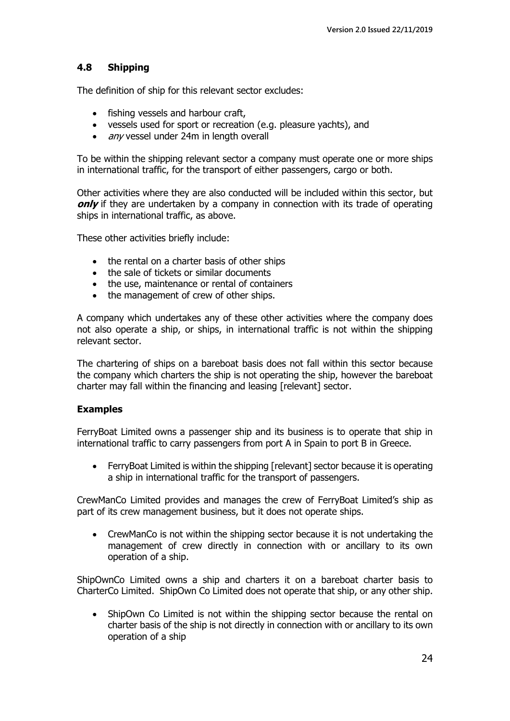## <span id="page-24-0"></span>**4.8 Shipping**

The definition of ship for this relevant sector excludes:

- fishing vessels and harbour craft,
- vessels used for sport or recreation (e.g. pleasure yachts), and
- any vessel under 24m in length overall

To be within the shipping relevant sector a company must operate one or more ships in international traffic, for the transport of either passengers, cargo or both.

Other activities where they are also conducted will be included within this sector, but *only* if they are undertaken by a company in connection with its trade of operating ships in international traffic, as above.

These other activities briefly include:

- the rental on a charter basis of other ships
- the sale of tickets or similar documents
- the use, maintenance or rental of containers
- the management of crew of other ships.

A company which undertakes any of these other activities where the company does not also operate a ship, or ships, in international traffic is not within the shipping relevant sector.

The chartering of ships on a bareboat basis does not fall within this sector because the company which charters the ship is not operating the ship, however the bareboat charter may fall within the financing and leasing [relevant] sector.

#### **Examples**

FerryBoat Limited owns a passenger ship and its business is to operate that ship in international traffic to carry passengers from port A in Spain to port B in Greece.

 FerryBoat Limited is within the shipping [relevant] sector because it is operating a ship in international traffic for the transport of passengers.

CrewManCo Limited provides and manages the crew of FerryBoat Limited's ship as part of its crew management business, but it does not operate ships.

 CrewManCo is not within the shipping sector because it is not undertaking the management of crew directly in connection with or ancillary to its own operation of a ship.

ShipOwnCo Limited owns a ship and charters it on a bareboat charter basis to CharterCo Limited. ShipOwn Co Limited does not operate that ship, or any other ship.

• ShipOwn Co Limited is not within the shipping sector because the rental on charter basis of the ship is not directly in connection with or ancillary to its own operation of a ship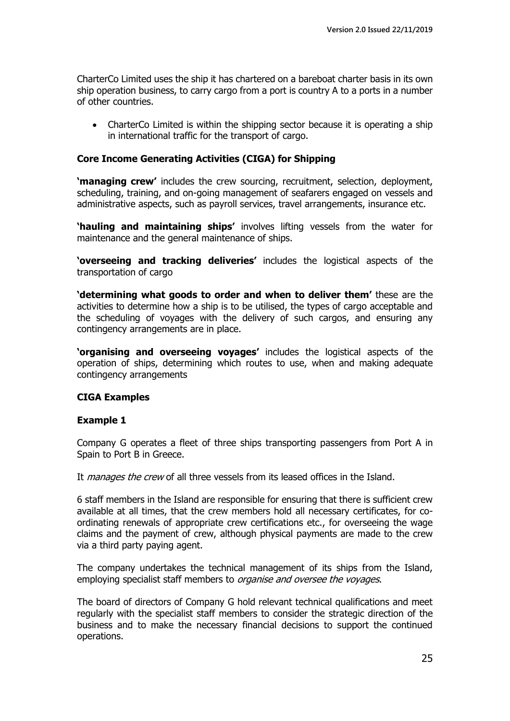CharterCo Limited uses the ship it has chartered on a bareboat charter basis in its own ship operation business, to carry cargo from a port is country A to a ports in a number of other countries.

 CharterCo Limited is within the shipping sector because it is operating a ship in international traffic for the transport of cargo.

### **Core Income Generating Activities (CIGA) for Shipping**

**'managing crew'** includes the crew sourcing, recruitment, selection, deployment, scheduling, training, and on-going management of seafarers engaged on vessels and administrative aspects, such as payroll services, travel arrangements, insurance etc.

**'hauling and maintaining ships'** involves lifting vessels from the water for maintenance and the general maintenance of ships.

**'overseeing and tracking deliveries'** includes the logistical aspects of the transportation of cargo

**'determining what goods to order and when to deliver them'** these are the activities to determine how a ship is to be utilised, the types of cargo acceptable and the scheduling of voyages with the delivery of such cargos, and ensuring any contingency arrangements are in place.

**'organising and overseeing voyages'** includes the logistical aspects of the operation of ships, determining which routes to use, when and making adequate contingency arrangements

### **CIGA Examples**

### **Example 1**

Company G operates a fleet of three ships transporting passengers from Port A in Spain to Port B in Greece.

It *manages the crew* of all three vessels from its leased offices in the Island.

6 staff members in the Island are responsible for ensuring that there is sufficient crew available at all times, that the crew members hold all necessary certificates, for coordinating renewals of appropriate crew certifications etc., for overseeing the wage claims and the payment of crew, although physical payments are made to the crew via a third party paying agent.

The company undertakes the technical management of its ships from the Island, employing specialist staff members to *organise and oversee the voyages*.

The board of directors of Company G hold relevant technical qualifications and meet regularly with the specialist staff members to consider the strategic direction of the business and to make the necessary financial decisions to support the continued operations.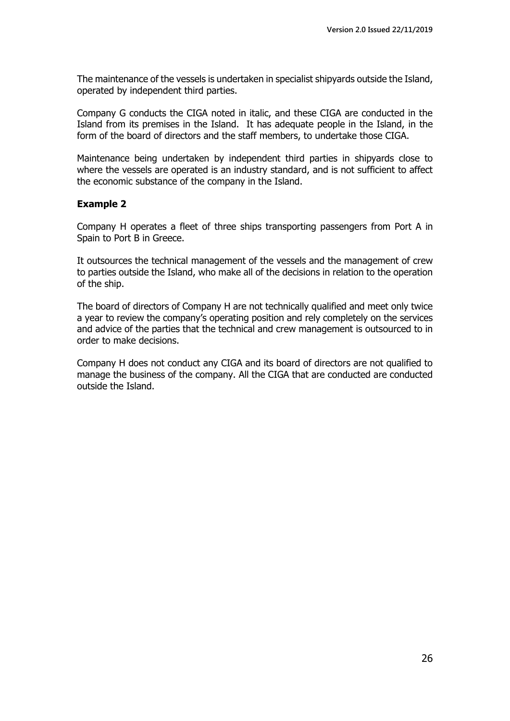The maintenance of the vessels is undertaken in specialist shipyards outside the Island, operated by independent third parties.

Company G conducts the CIGA noted in italic, and these CIGA are conducted in the Island from its premises in the Island. It has adequate people in the Island, in the form of the board of directors and the staff members, to undertake those CIGA.

Maintenance being undertaken by independent third parties in shipyards close to where the vessels are operated is an industry standard, and is not sufficient to affect the economic substance of the company in the Island.

### **Example 2**

Company H operates a fleet of three ships transporting passengers from Port A in Spain to Port B in Greece.

It outsources the technical management of the vessels and the management of crew to parties outside the Island, who make all of the decisions in relation to the operation of the ship.

The board of directors of Company H are not technically qualified and meet only twice a year to review the company's operating position and rely completely on the services and advice of the parties that the technical and crew management is outsourced to in order to make decisions.

Company H does not conduct any CIGA and its board of directors are not qualified to manage the business of the company. All the CIGA that are conducted are conducted outside the Island.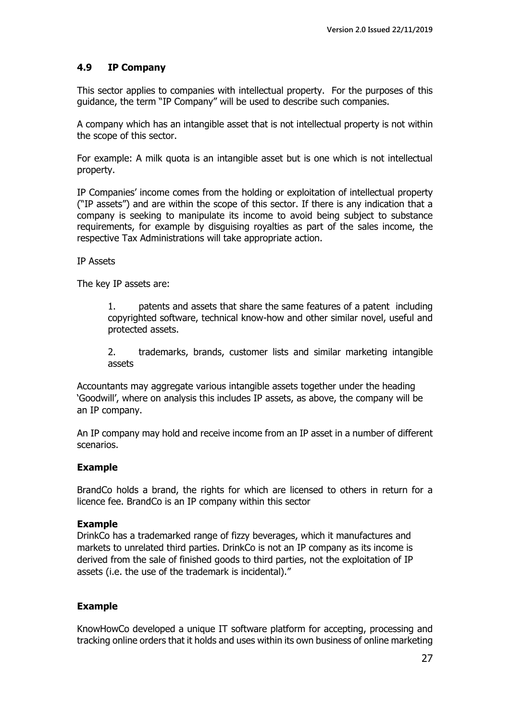# <span id="page-27-0"></span>**4.9 IP Company**

This sector applies to companies with intellectual property. For the purposes of this guidance, the term "IP Company" will be used to describe such companies.

A company which has an intangible asset that is not intellectual property is not within the scope of this sector.

For example: A milk quota is an intangible asset but is one which is not intellectual property.

IP Companies' income comes from the holding or exploitation of intellectual property ("IP assets") and are within the scope of this sector. If there is any indication that a company is seeking to manipulate its income to avoid being subject to substance requirements, for example by disguising royalties as part of the sales income, the respective Tax Administrations will take appropriate action.

IP Assets

The key IP assets are:

1. patents and assets that share the same features of a patent including copyrighted software, technical know-how and other similar novel, useful and protected assets.

2. trademarks, brands, customer lists and similar marketing intangible assets

Accountants may aggregate various intangible assets together under the heading 'Goodwill', where on analysis this includes IP assets, as above, the company will be an IP company.

An IP company may hold and receive income from an IP asset in a number of different scenarios.

### **Example**

BrandCo holds a brand, the rights for which are licensed to others in return for a licence fee. BrandCo is an IP company within this sector

### **Example**

DrinkCo has a trademarked range of fizzy beverages, which it manufactures and markets to unrelated third parties. DrinkCo is not an IP company as its income is derived from the sale of finished goods to third parties, not the exploitation of IP assets (i.e. the use of the trademark is incidental)."

### **Example**

KnowHowCo developed a unique IT software platform for accepting, processing and tracking online orders that it holds and uses within its own business of online marketing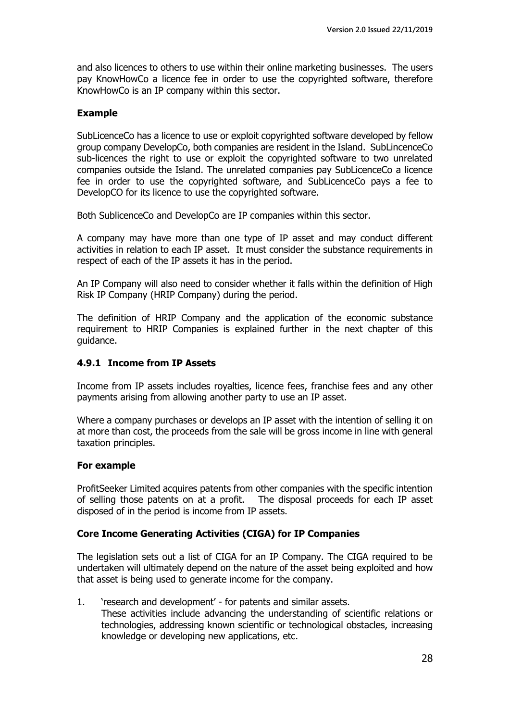and also licences to others to use within their online marketing businesses. The users pay KnowHowCo a licence fee in order to use the copyrighted software, therefore KnowHowCo is an IP company within this sector.

## **Example**

SubLicenceCo has a licence to use or exploit copyrighted software developed by fellow group company DevelopCo, both companies are resident in the Island. SubLincenceCo sub-licences the right to use or exploit the copyrighted software to two unrelated companies outside the Island. The unrelated companies pay SubLicenceCo a licence fee in order to use the copyrighted software, and SubLicenceCo pays a fee to DevelopCO for its licence to use the copyrighted software.

Both SublicenceCo and DevelopCo are IP companies within this sector.

A company may have more than one type of IP asset and may conduct different activities in relation to each IP asset. It must consider the substance requirements in respect of each of the IP assets it has in the period.

An IP Company will also need to consider whether it falls within the definition of High Risk IP Company (HRIP Company) during the period.

The definition of HRIP Company and the application of the economic substance requirement to HRIP Companies is explained further in the next chapter of this guidance.

### **4.9.1 Income from IP Assets**

Income from IP assets includes royalties, licence fees, franchise fees and any other payments arising from allowing another party to use an IP asset.

Where a company purchases or develops an IP asset with the intention of selling it on at more than cost, the proceeds from the sale will be gross income in line with general taxation principles.

### **For example**

ProfitSeeker Limited acquires patents from other companies with the specific intention of selling those patents on at a profit. The disposal proceeds for each IP asset disposed of in the period is income from IP assets.

### **Core Income Generating Activities (CIGA) for IP Companies**

The legislation sets out a list of CIGA for an IP Company. The CIGA required to be undertaken will ultimately depend on the nature of the asset being exploited and how that asset is being used to generate income for the company.

1. 'research and development' - for patents and similar assets. These activities include advancing the understanding of scientific relations or technologies, addressing known scientific or technological obstacles, increasing knowledge or developing new applications, etc.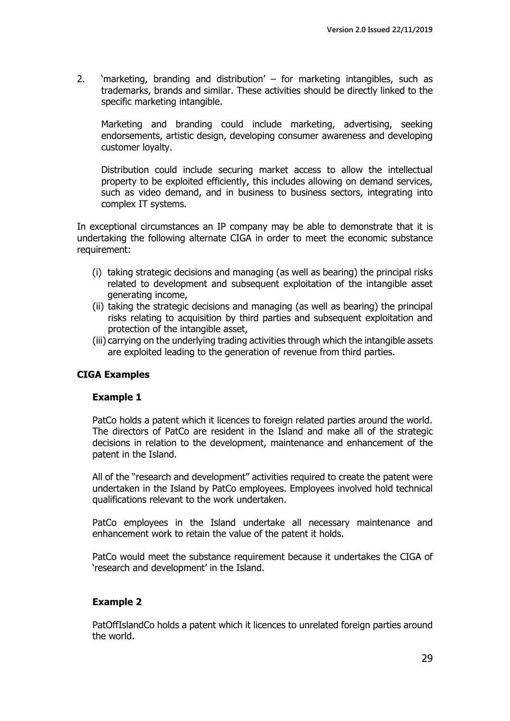2. 'marketing, branding and distribution' – for marketing intangibles, such as trademarks, brands and similar. These activities should be directly linked to the specific marketing intangible.

Marketing and branding could include marketing, advertising, seeking endorsements, artistic design, developing consumer awareness and developing customer loyalty.

Distribution could include securing market access to allow the intellectual property to be exploited efficiently, this includes allowing on demand services, such as video demand, and in business to business sectors, integrating into complex IT systems.

In exceptional circumstances an IP company may be able to demonstrate that it is undertaking the following alternate CIGA in order to meet the economic substance requirement:

- (i) taking strategic decisions and managing (as well as bearing) the principal risks related to development and subsequent exploitation of the intangible asset generating income,
- (ii) taking the strategic decisions and managing (as well as bearing) the principal risks relating to acquisition by third parties and subsequent exploitation and protection of the intangible asset,
- (iii) carrying on the underlying trading activities through which the intangible assets are exploited leading to the generation of revenue from third parties.

## **CIGA Examples**

### **Example 1**

PatCo holds a patent which it licences to foreign related parties around the world. The directors of PatCo are resident in the Island and make all of the strategic decisions in relation to the development, maintenance and enhancement of the patent in the Island.

All of the "research and development" activities required to create the patent were undertaken in the Island by PatCo employees. Employees involved hold technical qualifications relevant to the work undertaken.

PatCo employees in the Island undertake all necessary maintenance and enhancement work to retain the value of the patent it holds.

PatCo would meet the substance requirement because it undertakes the CIGA of 'research and development' in the Island.

### **Example 2**

PatOffIslandCo holds a patent which it licences to unrelated foreign parties around the world.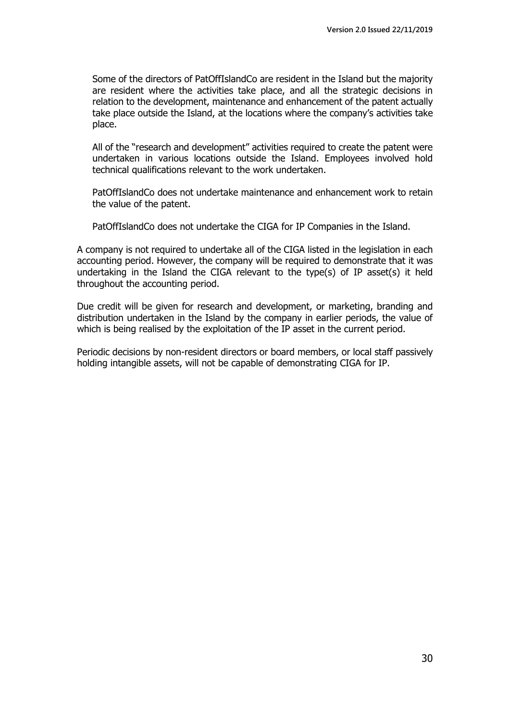Some of the directors of PatOffIslandCo are resident in the Island but the majority are resident where the activities take place, and all the strategic decisions in relation to the development, maintenance and enhancement of the patent actually take place outside the Island, at the locations where the company's activities take place.

All of the "research and development" activities required to create the patent were undertaken in various locations outside the Island. Employees involved hold technical qualifications relevant to the work undertaken.

PatOffIslandCo does not undertake maintenance and enhancement work to retain the value of the patent.

PatOffIslandCo does not undertake the CIGA for IP Companies in the Island.

A company is not required to undertake all of the CIGA listed in the legislation in each accounting period. However, the company will be required to demonstrate that it was undertaking in the Island the CIGA relevant to the type(s) of IP asset(s) it held throughout the accounting period.

Due credit will be given for research and development, or marketing, branding and distribution undertaken in the Island by the company in earlier periods, the value of which is being realised by the exploitation of the IP asset in the current period.

Periodic decisions by non-resident directors or board members, or local staff passively holding intangible assets, will not be capable of demonstrating CIGA for IP.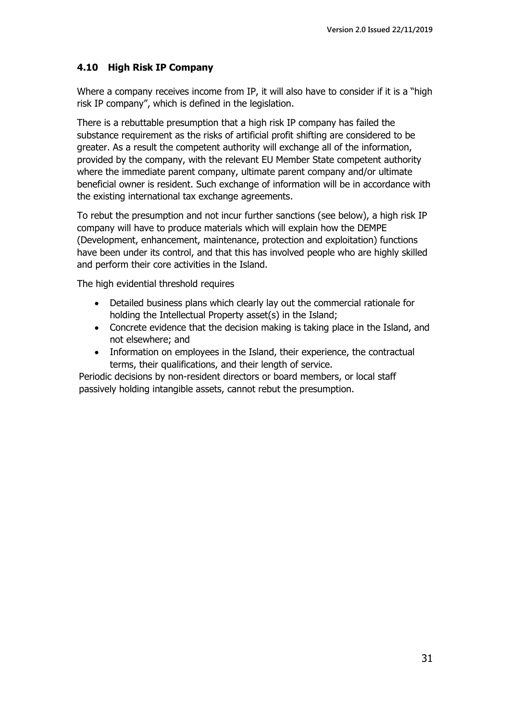# <span id="page-31-0"></span>**4.10 High Risk IP Company**

Where a company receives income from IP, it will also have to consider if it is a "high risk IP company", which is defined in the legislation.

There is a rebuttable presumption that a high risk IP company has failed the substance requirement as the risks of artificial profit shifting are considered to be greater. As a result the competent authority will exchange all of the information, provided by the company, with the relevant EU Member State competent authority where the immediate parent company, ultimate parent company and/or ultimate beneficial owner is resident. Such exchange of information will be in accordance with the existing international tax exchange agreements.

To rebut the presumption and not incur further sanctions (see below), a high risk IP company will have to produce materials which will explain how the DEMPE (Development, enhancement, maintenance, protection and exploitation) functions have been under its control, and that this has involved people who are highly skilled and perform their core activities in the Island.

The high evidential threshold requires

- Detailed business plans which clearly lay out the commercial rationale for holding the Intellectual Property asset(s) in the Island;
- Concrete evidence that the decision making is taking place in the Island, and not elsewhere; and
- Information on employees in the Island, their experience, the contractual terms, their qualifications, and their length of service.

Periodic decisions by non-resident directors or board members, or local staff passively holding intangible assets, cannot rebut the presumption.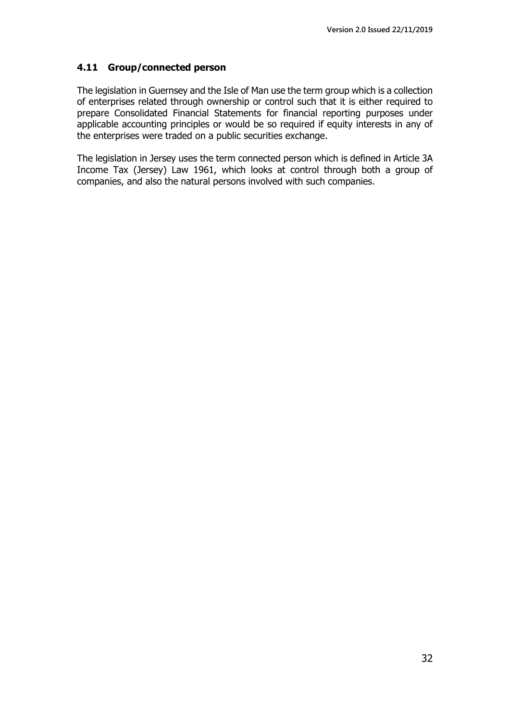# <span id="page-32-0"></span>**4.11 Group/connected person**

The legislation in Guernsey and the Isle of Man use the term group which is a collection of enterprises related through ownership or control such that it is either required to prepare Consolidated Financial Statements for financial reporting purposes under applicable accounting principles or would be so required if equity interests in any of the enterprises were traded on a public securities exchange.

The legislation in Jersey uses the term connected person which is defined in Article 3A Income Tax (Jersey) Law 1961, which looks at control through both a group of companies, and also the natural persons involved with such companies.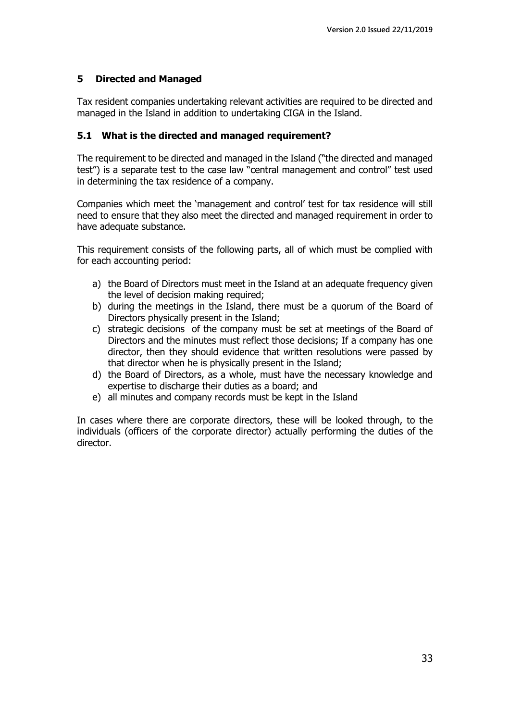## <span id="page-33-0"></span>**5 Directed and Managed**

Tax resident companies undertaking relevant activities are required to be directed and managed in the Island in addition to undertaking CIGA in the Island.

### <span id="page-33-1"></span>**5.1 What is the directed and managed requirement?**

The requirement to be directed and managed in the Island ("the directed and managed test") is a separate test to the case law "central management and control" test used in determining the tax residence of a company.

Companies which meet the 'management and control' test for tax residence will still need to ensure that they also meet the directed and managed requirement in order to have adequate substance.

This requirement consists of the following parts, all of which must be complied with for each accounting period:

- a) the Board of Directors must meet in the Island at an adequate frequency given the level of decision making required;
- b) during the meetings in the Island, there must be a quorum of the Board of Directors physically present in the Island;
- c) strategic decisions of the company must be set at meetings of the Board of Directors and the minutes must reflect those decisions; If a company has one director, then they should evidence that written resolutions were passed by that director when he is physically present in the Island;
- d) the Board of Directors, as a whole, must have the necessary knowledge and expertise to discharge their duties as a board; and
- e) all minutes and company records must be kept in the Island

In cases where there are corporate directors, these will be looked through, to the individuals (officers of the corporate director) actually performing the duties of the director.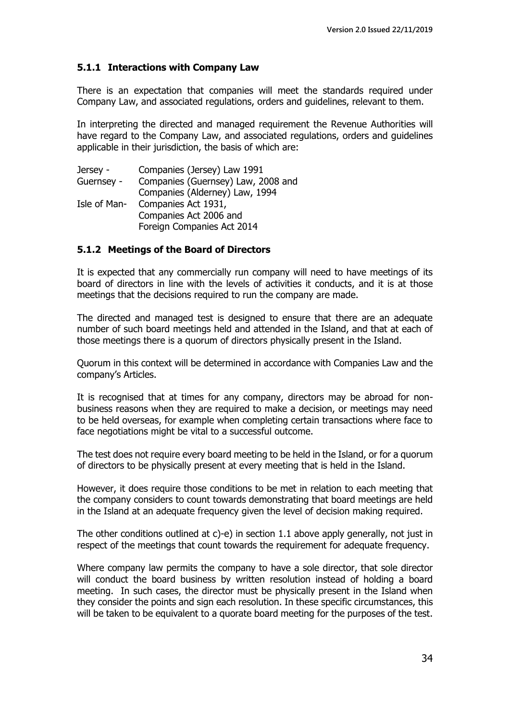## **5.1.1 Interactions with Company Law**

There is an expectation that companies will meet the standards required under Company Law, and associated regulations, orders and guidelines, relevant to them.

In interpreting the directed and managed requirement the Revenue Authorities will have regard to the Company Law, and associated regulations, orders and guidelines applicable in their jurisdiction, the basis of which are:

| Jersey -     | Companies (Jersey) Law 1991        |
|--------------|------------------------------------|
| Guernsey -   | Companies (Guernsey) Law, 2008 and |
|              | Companies (Alderney) Law, 1994     |
| Isle of Man- | Companies Act 1931,                |
|              | Companies Act 2006 and             |
|              | Foreign Companies Act 2014         |

### **5.1.2 Meetings of the Board of Directors**

It is expected that any commercially run company will need to have meetings of its board of directors in line with the levels of activities it conducts, and it is at those meetings that the decisions required to run the company are made.

The directed and managed test is designed to ensure that there are an adequate number of such board meetings held and attended in the Island, and that at each of those meetings there is a quorum of directors physically present in the Island.

Quorum in this context will be determined in accordance with Companies Law and the company's Articles.

It is recognised that at times for any company, directors may be abroad for nonbusiness reasons when they are required to make a decision, or meetings may need to be held overseas, for example when completing certain transactions where face to face negotiations might be vital to a successful outcome.

The test does not require every board meeting to be held in the Island, or for a quorum of directors to be physically present at every meeting that is held in the Island.

However, it does require those conditions to be met in relation to each meeting that the company considers to count towards demonstrating that board meetings are held in the Island at an adequate frequency given the level of decision making required.

The other conditions outlined at c)-e) in section 1.1 above apply generally, not just in respect of the meetings that count towards the requirement for adequate frequency.

Where company law permits the company to have a sole director, that sole director will conduct the board business by written resolution instead of holding a board meeting. In such cases, the director must be physically present in the Island when they consider the points and sign each resolution. In these specific circumstances, this will be taken to be equivalent to a quorate board meeting for the purposes of the test.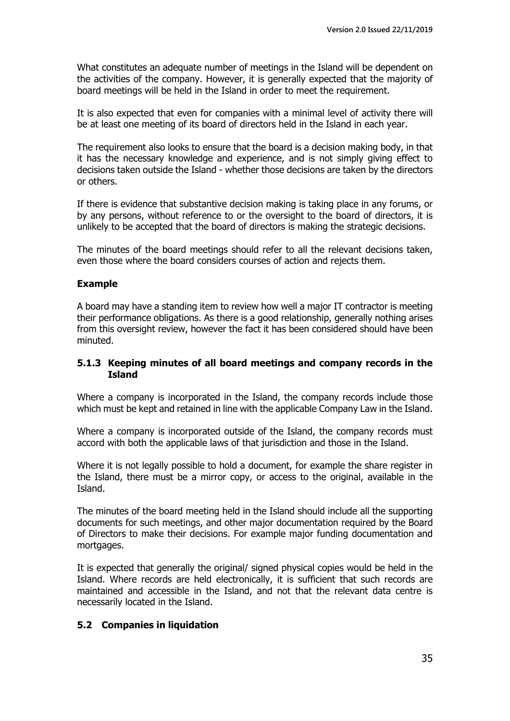What constitutes an adequate number of meetings in the Island will be dependent on the activities of the company. However, it is generally expected that the majority of board meetings will be held in the Island in order to meet the requirement.

It is also expected that even for companies with a minimal level of activity there will be at least one meeting of its board of directors held in the Island in each year.

The requirement also looks to ensure that the board is a decision making body, in that it has the necessary knowledge and experience, and is not simply giving effect to decisions taken outside the Island - whether those decisions are taken by the directors or others.

If there is evidence that substantive decision making is taking place in any forums, or by any persons, without reference to or the oversight to the board of directors, it is unlikely to be accepted that the board of directors is making the strategic decisions.

The minutes of the board meetings should refer to all the relevant decisions taken, even those where the board considers courses of action and rejects them.

### **Example**

A board may have a standing item to review how well a major IT contractor is meeting their performance obligations. As there is a good relationship, generally nothing arises from this oversight review, however the fact it has been considered should have been minuted.

### **5.1.3 Keeping minutes of all board meetings and company records in the Island**

Where a company is incorporated in the Island, the company records include those which must be kept and retained in line with the applicable Company Law in the Island.

Where a company is incorporated outside of the Island, the company records must accord with both the applicable laws of that jurisdiction and those in the Island.

Where it is not legally possible to hold a document, for example the share register in the Island, there must be a mirror copy, or access to the original, available in the Island.

The minutes of the board meeting held in the Island should include all the supporting documents for such meetings, and other major documentation required by the Board of Directors to make their decisions. For example major funding documentation and mortgages.

It is expected that generally the original/ signed physical copies would be held in the Island. Where records are held electronically, it is sufficient that such records are maintained and accessible in the Island, and not that the relevant data centre is necessarily located in the Island.

## <span id="page-35-0"></span>**5.2 Companies in liquidation**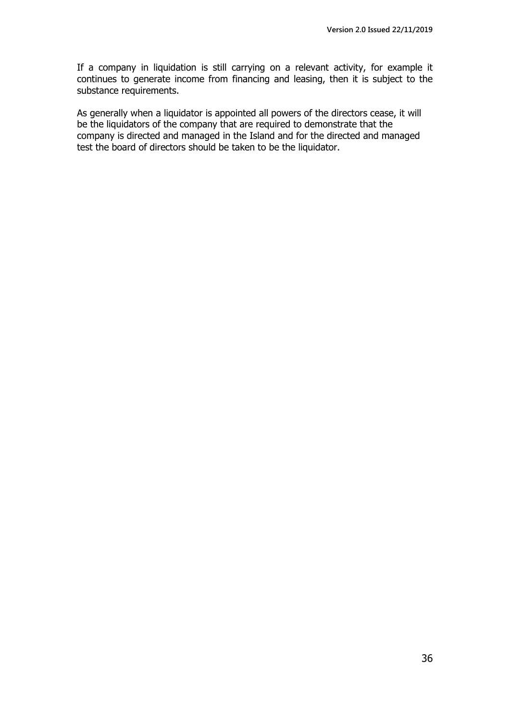If a company in liquidation is still carrying on a relevant activity, for example it continues to generate income from financing and leasing, then it is subject to the substance requirements.

As generally when a liquidator is appointed all powers of the directors cease, it will be the liquidators of the company that are required to demonstrate that the company is directed and managed in the Island and for the directed and managed test the board of directors should be taken to be the liquidator.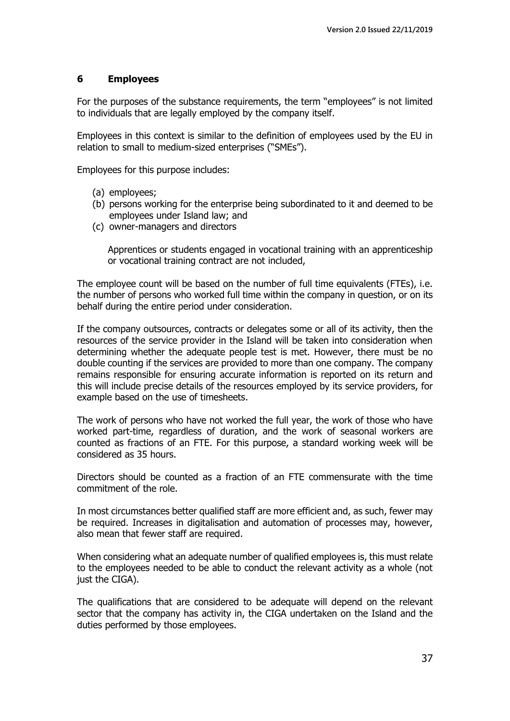## <span id="page-37-0"></span>**6 Employees**

For the purposes of the substance requirements, the term "employees" is not limited to individuals that are legally employed by the company itself.

Employees in this context is similar to the definition of employees used by the EU in relation to small to medium-sized enterprises ("SMEs").

Employees for this purpose includes:

- (a) employees;
- (b) persons working for the enterprise being subordinated to it and deemed to be employees under Island law; and
- (c) owner-managers and directors

Apprentices or students engaged in vocational training with an apprenticeship or vocational training contract are not included,

The employee count will be based on the number of full time equivalents (FTEs), i.e. the number of persons who worked full time within the company in question, or on its behalf during the entire period under consideration.

If the company outsources, contracts or delegates some or all of its activity, then the resources of the service provider in the Island will be taken into consideration when determining whether the adequate people test is met. However, there must be no double counting if the services are provided to more than one company. The company remains responsible for ensuring accurate information is reported on its return and this will include precise details of the resources employed by its service providers, for example based on the use of timesheets.

The work of persons who have not worked the full year, the work of those who have worked part-time, regardless of duration, and the work of seasonal workers are counted as fractions of an FTE. For this purpose, a standard working week will be considered as 35 hours.

Directors should be counted as a fraction of an FTE commensurate with the time commitment of the role.

In most circumstances better qualified staff are more efficient and, as such, fewer may be required. Increases in digitalisation and automation of processes may, however, also mean that fewer staff are required.

When considering what an adequate number of qualified employees is, this must relate to the employees needed to be able to conduct the relevant activity as a whole (not just the CIGA).

The qualifications that are considered to be adequate will depend on the relevant sector that the company has activity in, the CIGA undertaken on the Island and the duties performed by those employees.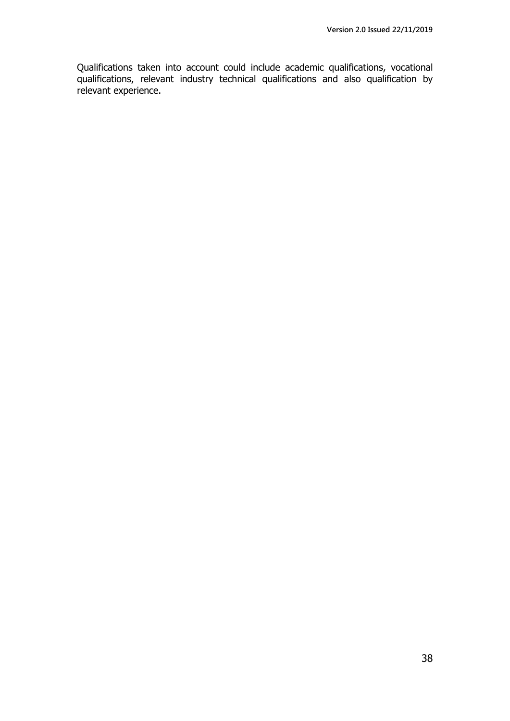Qualifications taken into account could include academic qualifications, vocational qualifications, relevant industry technical qualifications and also qualification by relevant experience.